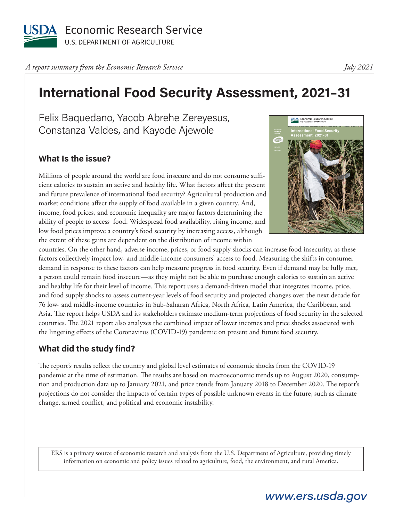

*A report summary from the Economic Research Service* 

## **International Food Security Assessment, 2021–31**

Felix Baquedano, Yacob Abrehe Zereyesus, Constanza Valdes, and Kayode Ajewole

## **What Is the issue?**

Millions of people around the world are food insecure and do not consume sufficient calories to sustain an active and healthy life. What factors affect the present and future prevalence of international food security? Agricultural production and market conditions affect the supply of food available in a given country. And, income, food prices, and economic inequality are major factors determining the ability of people to access food. Widespread food availability, rising income, and low food prices improve a country's food security by increasing access, although the extent of these gains are dependent on the distribution of income within



countries. On the other hand, adverse income, prices, or food supply shocks can increase food insecurity, as these factors collectively impact low- and middle-income consumers' access to food. Measuring the shifts in consumer demand in response to these factors can help measure progress in food security. Even if demand may be fully met, a person could remain food insecure—as they might not be able to purchase enough calories to sustain an active and healthy life for their level of income. This report uses a demand-driven model that integrates income, price, and food supply shocks to assess current-year levels of food security and projected changes over the next decade for 76 low- and middle-income countries in Sub-Saharan Africa, North Africa, Latin America, the Caribbean, and Asia. The report helps USDA and its stakeholders estimate medium-term projections of food security in the selected countries. The 2021 report also analyzes the combined impact of lower incomes and price shocks associated with the lingering effects of the Coronavirus (COVID-19) pandemic on present and future food security.

## **What did the study find?**

The report's results reflect the country and global level estimates of economic shocks from the COVID-19 pandemic at the time of estimation. The results are based on macroeconomic trends up to August 2020, consumption and production data up to January 2021, and price trends from January 2018 to December 2020. The report's projections do not consider the impacts of certain types of possible unknown events in the future, such as climate change, armed conflict, and political and economic instability.

ERS is a primary source of economic research and analysis from the U.S. Department of Agriculture, providing timely information on economic and policy issues related to agriculture, food, the environment, and rural America.